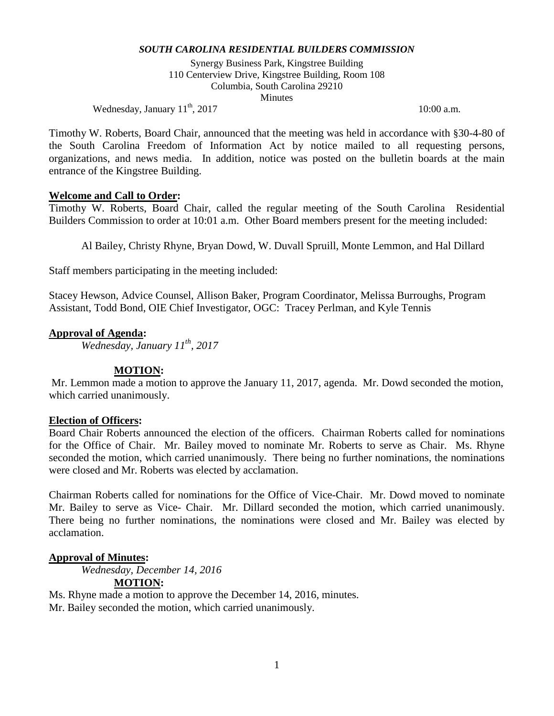Synergy Business Park, Kingstree Building 110 Centerview Drive, Kingstree Building, Room 108 Columbia, South Carolina 29210 **Minutes** 

Wednesday, January  $11<sup>th</sup>$ ,  $2017$  10:00 a.m.

Timothy W. Roberts, Board Chair, announced that the meeting was held in accordance with §30-4-80 of the South Carolina Freedom of Information Act by notice mailed to all requesting persons, organizations, and news media. In addition, notice was posted on the bulletin boards at the main entrance of the Kingstree Building.

# **Welcome and Call to Order:**

Timothy W. Roberts, Board Chair, called the regular meeting of the South Carolina Residential Builders Commission to order at 10:01 a.m. Other Board members present for the meeting included:

Al Bailey, Christy Rhyne, Bryan Dowd, W. Duvall Spruill, Monte Lemmon, and Hal Dillard

Staff members participating in the meeting included:

Stacey Hewson, Advice Counsel, Allison Baker, Program Coordinator, Melissa Burroughs, Program Assistant, Todd Bond, OIE Chief Investigator, OGC: Tracey Perlman, and Kyle Tennis

# **Approval of Agenda:**

*Wednesday, January 11th, 2017*

### **MOTION:**

Mr. Lemmon made a motion to approve the January 11, 2017, agenda. Mr. Dowd seconded the motion, which carried unanimously.

### **Election of Officers:**

Board Chair Roberts announced the election of the officers. Chairman Roberts called for nominations for the Office of Chair. Mr. Bailey moved to nominate Mr. Roberts to serve as Chair. Ms. Rhyne seconded the motion, which carried unanimously. There being no further nominations, the nominations were closed and Mr. Roberts was elected by acclamation.

Chairman Roberts called for nominations for the Office of Vice-Chair. Mr. Dowd moved to nominate Mr. Bailey to serve as Vice- Chair. Mr. Dillard seconded the motion, which carried unanimously. There being no further nominations, the nominations were closed and Mr. Bailey was elected by acclamation.

### **Approval of Minutes:**

*Wednesday, December 14, 2016* **MOTION:**

Ms. Rhyne made a motion to approve the December 14, 2016, minutes. Mr. Bailey seconded the motion, which carried unanimously.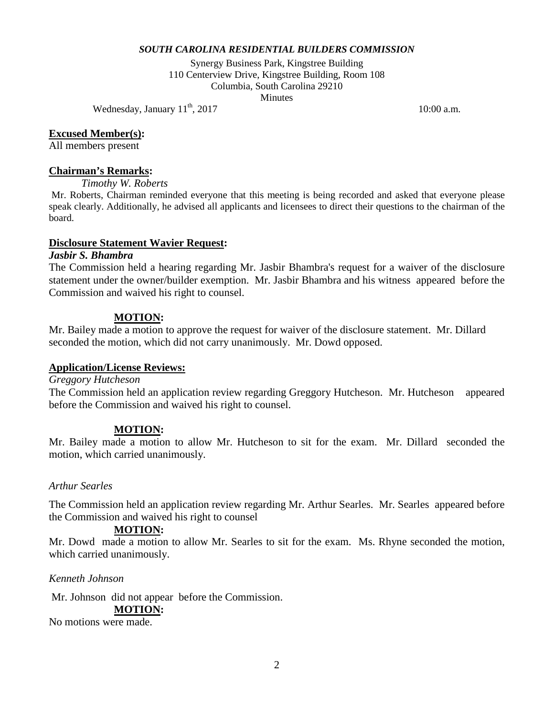Synergy Business Park, Kingstree Building 110 Centerview Drive, Kingstree Building, Room 108 Columbia, South Carolina 29210 **Minutes** 

Wednesday, January  $11<sup>th</sup>$ ,  $2017$  10:00 a.m.

### **Excused Member(s):**

All members present

#### **Chairman's Remarks:**

*Timothy W. Roberts* 

Mr. Roberts, Chairman reminded everyone that this meeting is being recorded and asked that everyone please speak clearly. Additionally, he advised all applicants and licensees to direct their questions to the chairman of the board.

#### **Disclosure Statement Wavier Request:**

#### *Jasbir S. Bhambra*

The Commission held a hearing regarding Mr. Jasbir Bhambra's request for a waiver of the disclosure statement under the owner/builder exemption. Mr. Jasbir Bhambra and his witness appeared before the Commission and waived his right to counsel.

### **MOTION:**

Mr. Bailey made a motion to approve the request for waiver of the disclosure statement. Mr. Dillard seconded the motion, which did not carry unanimously. Mr. Dowd opposed.

### **Application/License Reviews:**

*Greggory Hutcheson*

The Commission held an application review regarding Greggory Hutcheson. Mr. Hutcheson appeared before the Commission and waived his right to counsel.

### **MOTION:**

Mr. Bailey made a motion to allow Mr. Hutcheson to sit for the exam. Mr. Dillard seconded the motion, which carried unanimously.

### *Arthur Searles*

The Commission held an application review regarding Mr. Arthur Searles. Mr. Searles appeared before the Commission and waived his right to counsel

### **MOTION:**

Mr. Dowd made a motion to allow Mr. Searles to sit for the exam. Ms. Rhyne seconded the motion, which carried unanimously.

*Kenneth Johnson*

Mr. Johnson did not appear before the Commission. **MOTION:**

No motions were made.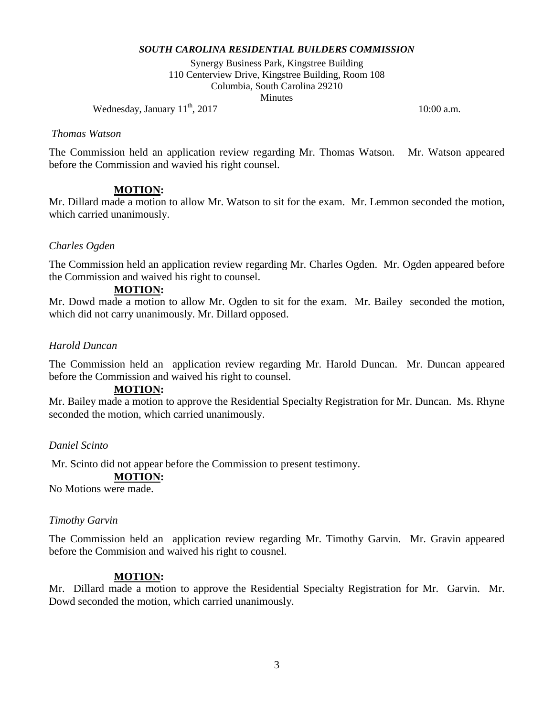Synergy Business Park, Kingstree Building 110 Centerview Drive, Kingstree Building, Room 108 Columbia, South Carolina 29210 **Minutes** 

Wednesday, January  $11<sup>th</sup>$ ,  $2017$  10:00 a.m.

#### *Thomas Watson*

The Commission held an application review regarding Mr. Thomas Watson. Mr. Watson appeared before the Commission and wavied his right counsel.

### **MOTION:**

Mr. Dillard made a motion to allow Mr. Watson to sit for the exam. Mr. Lemmon seconded the motion, which carried unanimously.

### *Charles Ogden*

The Commission held an application review regarding Mr. Charles Ogden. Mr. Ogden appeared before the Commission and waived his right to counsel.

#### **MOTION:**

Mr. Dowd made a motion to allow Mr. Ogden to sit for the exam. Mr. Bailey seconded the motion, which did not carry unanimously. Mr. Dillard opposed.

### *Harold Duncan*

The Commission held an application review regarding Mr. Harold Duncan. Mr. Duncan appeared before the Commission and waived his right to counsel.

### **MOTION:**

Mr. Bailey made a motion to approve the Residential Specialty Registration for Mr. Duncan. Ms. Rhyne seconded the motion, which carried unanimously.

### *Daniel Scinto*

Mr. Scinto did not appear before the Commission to present testimony.

# **MOTION:**

No Motions were made.

#### *Timothy Garvin*

The Commission held an application review regarding Mr. Timothy Garvin. Mr. Gravin appeared before the Commision and waived his right to cousnel.

### **MOTION:**

Mr. Dillard made a motion to approve the Residential Specialty Registration for Mr. Garvin. Mr. Dowd seconded the motion, which carried unanimously.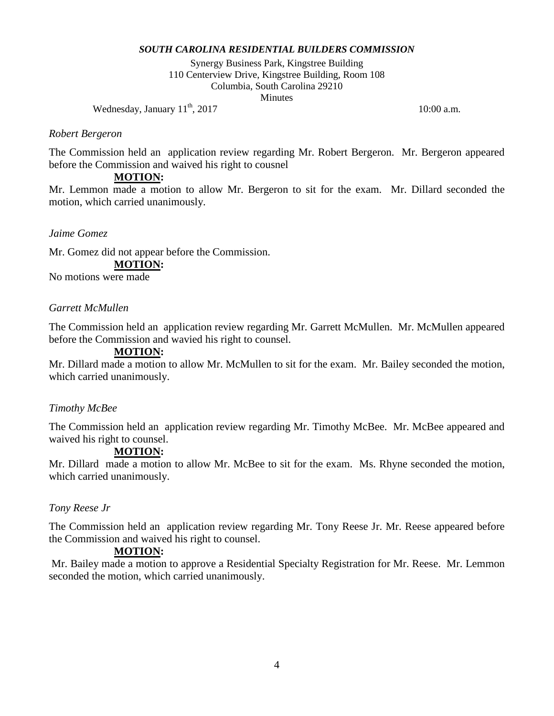Synergy Business Park, Kingstree Building 110 Centerview Drive, Kingstree Building, Room 108 Columbia, South Carolina 29210 **Minutes** 

Wednesday, January  $11<sup>th</sup>$ ,  $2017$  10:00 a.m.

### *Robert Bergeron*

The Commission held an application review regarding Mr. Robert Bergeron. Mr. Bergeron appeared before the Commission and waived his right to cousnel

### **MOTION:**

Mr. Lemmon made a motion to allow Mr. Bergeron to sit for the exam. Mr. Dillard seconded the motion, which carried unanimously.

# *Jaime Gomez*

Mr. Gomez did not appear before the Commission.

# **MOTION:**

No motions were made

# *Garrett McMullen*

The Commission held an application review regarding Mr. Garrett McMullen. Mr. McMullen appeared before the Commission and wavied his right to counsel.

### **MOTION:**

Mr. Dillard made a motion to allow Mr. McMullen to sit for the exam. Mr. Bailey seconded the motion, which carried unanimously.

### *Timothy McBee*

The Commission held an application review regarding Mr. Timothy McBee. Mr. McBee appeared and waived his right to counsel.

# **MOTION:**

Mr. Dillard made a motion to allow Mr. McBee to sit for the exam. Ms. Rhyne seconded the motion, which carried unanimously.

### *Tony Reese Jr*

The Commission held an application review regarding Mr. Tony Reese Jr. Mr. Reese appeared before the Commission and waived his right to counsel.

# **MOTION:**

Mr. Bailey made a motion to approve a Residential Specialty Registration for Mr. Reese. Mr. Lemmon seconded the motion, which carried unanimously.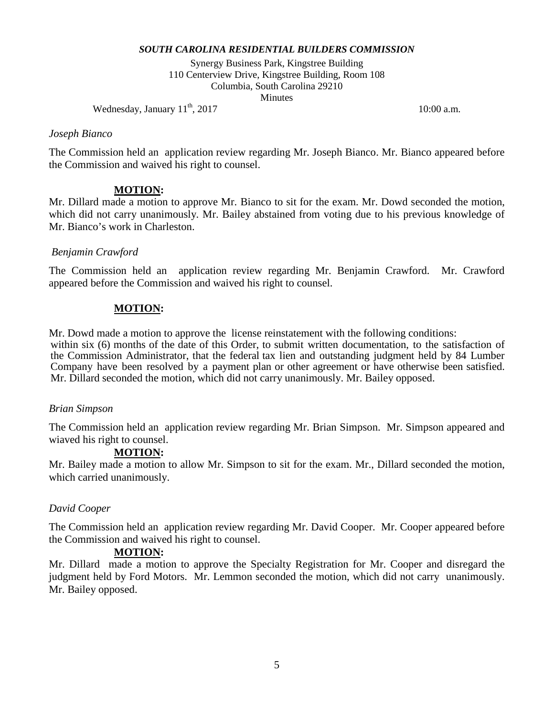Synergy Business Park, Kingstree Building 110 Centerview Drive, Kingstree Building, Room 108 Columbia, South Carolina 29210 **Minutes** 

Wednesday, January  $11<sup>th</sup>$ ,  $2017$  10:00 a.m.

#### *Joseph Bianco*

The Commission held an application review regarding Mr. Joseph Bianco. Mr. Bianco appeared before the Commission and waived his right to counsel.

# **MOTION:**

Mr. Dillard made a motion to approve Mr. Bianco to sit for the exam. Mr. Dowd seconded the motion, which did not carry unanimously. Mr. Bailey abstained from voting due to his previous knowledge of Mr. Bianco's work in Charleston.

# *Benjamin Crawford*

The Commission held an application review regarding Mr. Benjamin Crawford. Mr. Crawford appeared before the Commission and waived his right to counsel.

# **MOTION:**

Mr. Dowd made a motion to approve the license reinstatement with the following conditions: within six (6) months of the date of this Order, to submit written documentation, to the satisfaction of the Commission Administrator, that the federal tax lien and outstanding judgment held by 84 Lumber Company have been resolved by a payment plan or other agreement or have otherwise been satisfied. Mr. Dillard seconded the motion, which did not carry unanimously. Mr. Bailey opposed.

### *Brian Simpson*

The Commission held an application review regarding Mr. Brian Simpson. Mr. Simpson appeared and wiaved his right to counsel.

# **MOTION:**

Mr. Bailey made a motion to allow Mr. Simpson to sit for the exam. Mr., Dillard seconded the motion, which carried unanimously.

# *David Cooper*

The Commission held an application review regarding Mr. David Cooper. Mr. Cooper appeared before the Commission and waived his right to counsel.

### **MOTION:**

Mr. Dillard made a motion to approve the Specialty Registration for Mr. Cooper and disregard the judgment held by Ford Motors. Mr. Lemmon seconded the motion, which did not carry unanimously. Mr. Bailey opposed.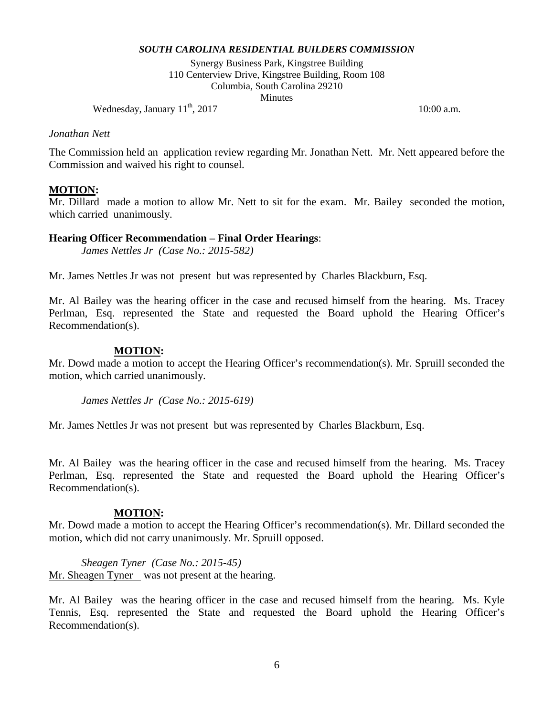Synergy Business Park, Kingstree Building 110 Centerview Drive, Kingstree Building, Room 108 Columbia, South Carolina 29210 **Minutes** 

Wednesday, January  $11<sup>th</sup>$ ,  $2017$  10:00 a.m.

#### *Jonathan Nett*

The Commission held an application review regarding Mr. Jonathan Nett. Mr. Nett appeared before the Commission and waived his right to counsel.

#### **MOTION:**

Mr. Dillard made a motion to allow Mr. Nett to sit for the exam. Mr. Bailey seconded the motion, which carried unanimously.

#### **Hearing Officer Recommendation – Final Order Hearings**:

*James Nettles Jr (Case No.: 2015-582)*

Mr. James Nettles Jr was not present but was represented by Charles Blackburn, Esq.

Mr. Al Bailey was the hearing officer in the case and recused himself from the hearing. Ms. Tracey Perlman, Esq. represented the State and requested the Board uphold the Hearing Officer's Recommendation(s).

#### **MOTION:**

Mr. Dowd made a motion to accept the Hearing Officer's recommendation(s). Mr. Spruill seconded the motion, which carried unanimously.

*James Nettles Jr (Case No.: 2015-619)*

Mr. James Nettles Jr was not present but was represented by Charles Blackburn, Esq.

Mr. Al Bailey was the hearing officer in the case and recused himself from the hearing. Ms. Tracey Perlman, Esq. represented the State and requested the Board uphold the Hearing Officer's Recommendation(s).

#### **MOTION:**

Mr. Dowd made a motion to accept the Hearing Officer's recommendation(s). Mr. Dillard seconded the motion, which did not carry unanimously. Mr. Spruill opposed.

*Sheagen Tyner (Case No.: 2015-45)* Mr. Sheagen Tyner was not present at the hearing.

Mr. Al Bailey was the hearing officer in the case and recused himself from the hearing. Ms. Kyle Tennis, Esq. represented the State and requested the Board uphold the Hearing Officer's Recommendation(s).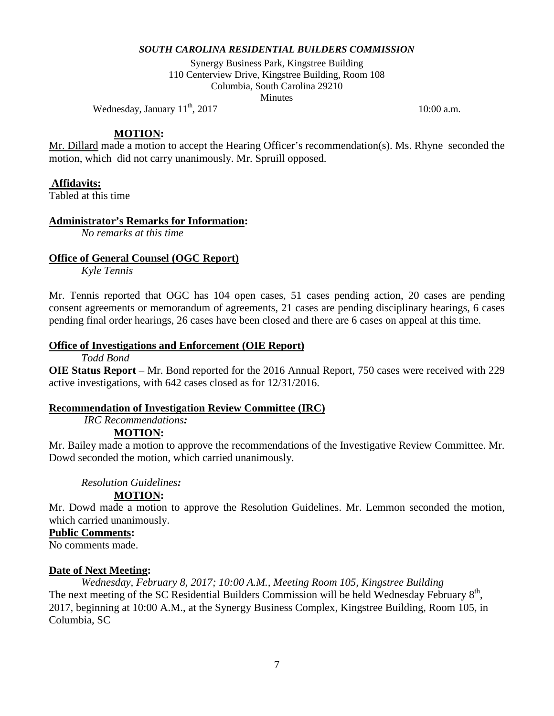Synergy Business Park, Kingstree Building 110 Centerview Drive, Kingstree Building, Room 108 Columbia, South Carolina 29210 **Minutes** 

Wednesday, January  $11<sup>th</sup>$ ,  $2017$  10:00 a.m.

### **MOTION:**

Mr. Dillard made a motion to accept the Hearing Officer's recommendation(s). Ms. Rhyne seconded the motion, which did not carry unanimously. Mr. Spruill opposed.

# **Affidavits:**

Tabled at this time

# **Administrator's Remarks for Information:**

*No remarks at this time*

# **Office of General Counsel (OGC Report)**

*Kyle Tennis*

Mr. Tennis reported that OGC has 104 open cases, 51 cases pending action, 20 cases are pending consent agreements or memorandum of agreements, 21 cases are pending disciplinary hearings, 6 cases pending final order hearings, 26 cases have been closed and there are 6 cases on appeal at this time.

# **Office of Investigations and Enforcement (OIE Report)**

*Todd Bond*

**OIE Status Report** – Mr. Bond reported for the 2016 Annual Report, 750 cases were received with 229 active investigations, with 642 cases closed as for 12/31/2016.

### **Recommendation of Investigation Review Committee (IRC)**

*IRC Recommendations:*

### **MOTION:**

Mr. Bailey made a motion to approve the recommendations of the Investigative Review Committee. Mr. Dowd seconded the motion, which carried unanimously.

*Resolution Guidelines:*

### **MOTION:**

Mr. Dowd made a motion to approve the Resolution Guidelines. Mr. Lemmon seconded the motion, which carried unanimously.

# **Public Comments:**

No comments made.

### **Date of Next Meeting:**

*Wednesday, February 8, 2017; 10:00 A.M., Meeting Room 105, Kingstree Building* The next meeting of the SC Residential Builders Commission will be held Wednesday February 8<sup>th</sup>, 2017, beginning at 10:00 A.M., at the Synergy Business Complex, Kingstree Building, Room 105, in Columbia, SC